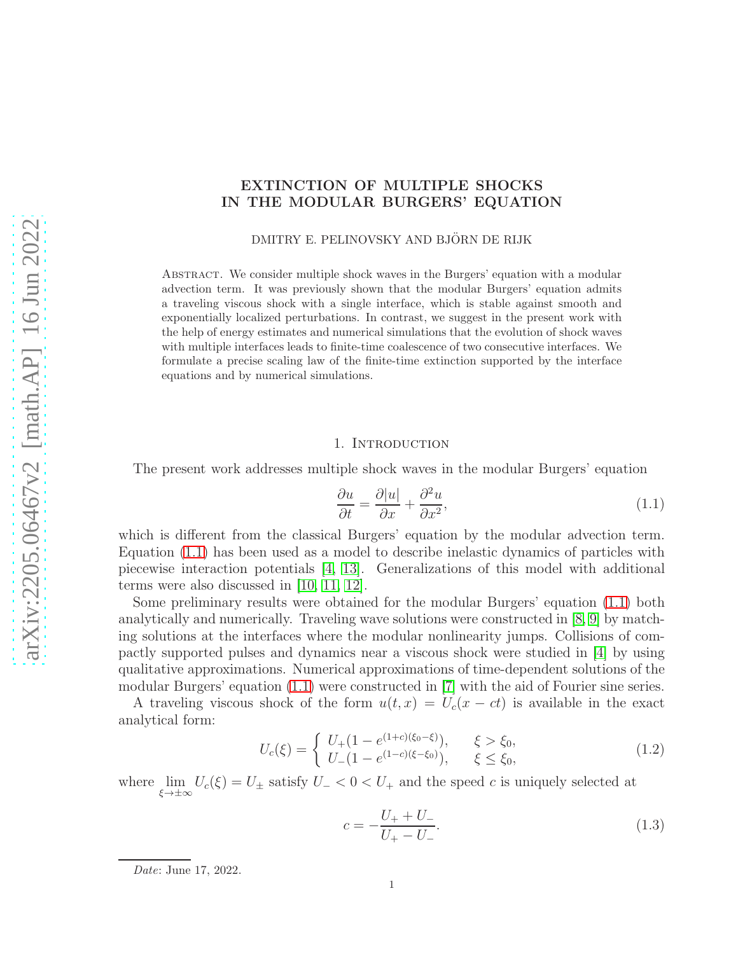# EXTINCTION OF MULTIPLE SHOCKS IN THE MODULAR BURGERS' EQUATION

DMITRY E. PELINOVSKY AND BJÖRN DE RIJK

Abstract. We consider multiple shock waves in the Burgers' equation with a modular advection term. It was previously shown that the modular Burgers' equation admits a traveling viscous shock with a single interface, which is stable against smooth and exponentially localized perturbations. In contrast, we suggest in the present work with the help of energy estimates and numerical simulations that the evolution of shock waves with multiple interfaces leads to finite-time coalescence of two consecutive interfaces. We formulate a precise scaling law of the finite-time extinction supported by the interface equations and by numerical simulations.

## 1. INTRODUCTION

The present work addresses multiple shock waves in the modular Burgers' equation

<span id="page-0-0"></span>
$$
\frac{\partial u}{\partial t} = \frac{\partial |u|}{\partial x} + \frac{\partial^2 u}{\partial x^2},\tag{1.1}
$$

which is different from the classical Burgers' equation by the modular advection term. Equation [\(1.1\)](#page-0-0) has been used as a model to describe inelastic dynamics of particles with piecewise interaction potentials [\[4,](#page-11-0) [13\]](#page-11-1). Generalizations of this model with additional terms were also discussed in [\[10,](#page-11-2) [11,](#page-11-3) [12\]](#page-11-4).

Some preliminary results were obtained for the modular Burgers' equation [\(1.1\)](#page-0-0) both analytically and numerically. Traveling wave solutions were constructed in [\[8,](#page-11-5) [9\]](#page-11-6) by matching solutions at the interfaces where the modular nonlinearity jumps. Collisions of compactly supported pulses and dynamics near a viscous shock were studied in [\[4\]](#page-11-0) by using qualitative approximations. Numerical approximations of time-dependent solutions of the modular Burgers' equation [\(1.1\)](#page-0-0) were constructed in [\[7\]](#page-11-7) with the aid of Fourier sine series.

A traveling viscous shock of the form  $u(t, x) = U_c(x - ct)$  is available in the exact analytical form:

<span id="page-0-1"></span>
$$
U_c(\xi) = \begin{cases} U_+(1 - e^{(1+c)(\xi_0 - \xi)}), & \xi > \xi_0, \\ U_-(1 - e^{(1-c)(\xi - \xi_0)}), & \xi \le \xi_0, \end{cases}
$$
(1.2)

where  $\lim_{\xi \to \pm \infty} U_c(\xi) = U_{\pm}$  satisfy  $U_{-} < 0 < U_{+}$  and the speed c is uniquely selected at

$$
c = -\frac{U_+ + U_-}{U_+ - U_-}.\tag{1.3}
$$

Date: June 17, 2022.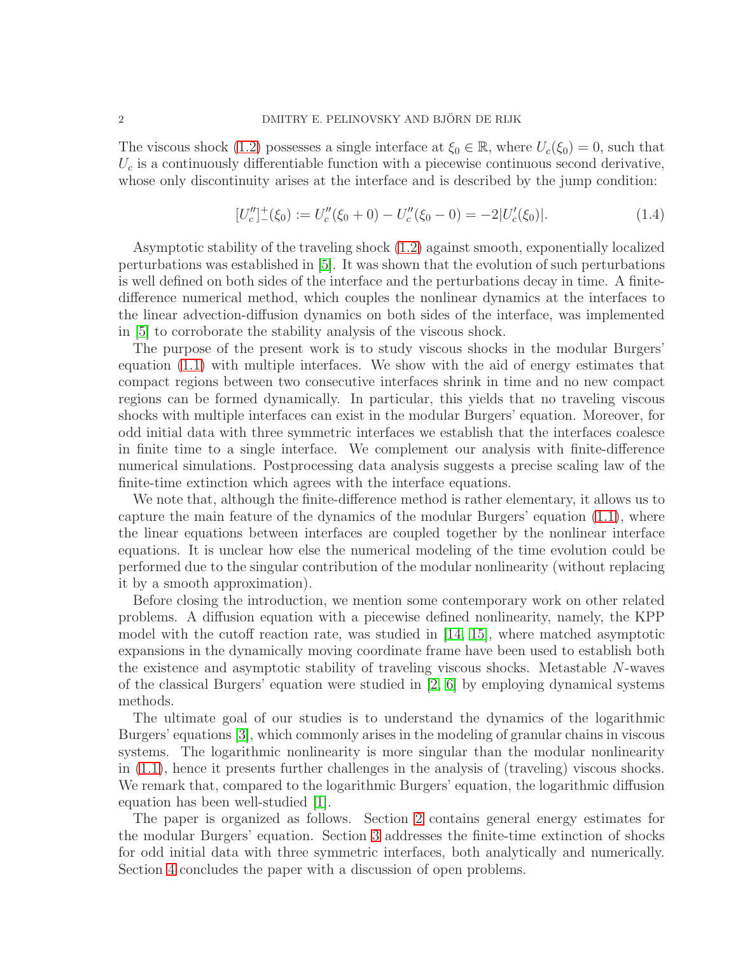The viscous shock [\(1.2\)](#page-0-1) possesses a single interface at  $\xi_0 \in \mathbb{R}$ , where  $U_c(\xi_0) = 0$ , such that  $U_c$  is a continuously differentiable function with a piecewise continuous second derivative, whose only discontinuity arises at the interface and is described by the jump condition:

$$
[U''_c]_-(\xi_0) := U''_c(\xi_0 + 0) - U''_c(\xi_0 - 0) = -2|U'_c(\xi_0)|.
$$
\n(1.4)

Asymptotic stability of the traveling shock [\(1.2\)](#page-0-1) against smooth, exponentially localized perturbations was established in [\[5\]](#page-11-8). It was shown that the evolution of such perturbations is well defined on both sides of the interface and the perturbations decay in time. A finitedifference numerical method, which couples the nonlinear dynamics at the interfaces to the linear advection-diffusion dynamics on both sides of the interface, was implemented in [\[5\]](#page-11-8) to corroborate the stability analysis of the viscous shock.

The purpose of the present work is to study viscous shocks in the modular Burgers' equation [\(1.1\)](#page-0-0) with multiple interfaces. We show with the aid of energy estimates that compact regions between two consecutive interfaces shrink in time and no new compact regions can be formed dynamically. In particular, this yields that no traveling viscous shocks with multiple interfaces can exist in the modular Burgers' equation. Moreover, for odd initial data with three symmetric interfaces we establish that the interfaces coalesce in finite time to a single interface. We complement our analysis with finite-difference numerical simulations. Postprocessing data analysis suggests a precise scaling law of the finite-time extinction which agrees with the interface equations.

We note that, although the finite-difference method is rather elementary, it allows us to capture the main feature of the dynamics of the modular Burgers' equation [\(1.1\)](#page-0-0), where the linear equations between interfaces are coupled together by the nonlinear interface equations. It is unclear how else the numerical modeling of the time evolution could be performed due to the singular contribution of the modular nonlinearity (without replacing it by a smooth approximation).

Before closing the introduction, we mention some contemporary work on other related problems. A diffusion equation with a piecewise defined nonlinearity, namely, the KPP model with the cutoff reaction rate, was studied in [\[14,](#page-11-9) [15\]](#page-11-10), where matched asymptotic expansions in the dynamically moving coordinate frame have been used to establish both the existence and asymptotic stability of traveling viscous shocks. Metastable N-waves of the classical Burgers' equation were studied in  $[2, 6]$  $[2, 6]$  by employing dynamical systems methods.

The ultimate goal of our studies is to understand the dynamics of the logarithmic Burgers' equations [\[3\]](#page-11-13), which commonly arises in the modeling of granular chains in viscous systems. The logarithmic nonlinearity is more singular than the modular nonlinearity in [\(1.1\)](#page-0-0), hence it presents further challenges in the analysis of (traveling) viscous shocks. We remark that, compared to the logarithmic Burgers' equation, the logarithmic diffusion equation has been well-studied [\[1\]](#page-11-14).

The paper is organized as follows. Section [2](#page-2-0) contains general energy estimates for the modular Burgers' equation. Section [3](#page-3-0) addresses the finite-time extinction of shocks for odd initial data with three symmetric interfaces, both analytically and numerically. Section [4](#page-10-0) concludes the paper with a discussion of open problems.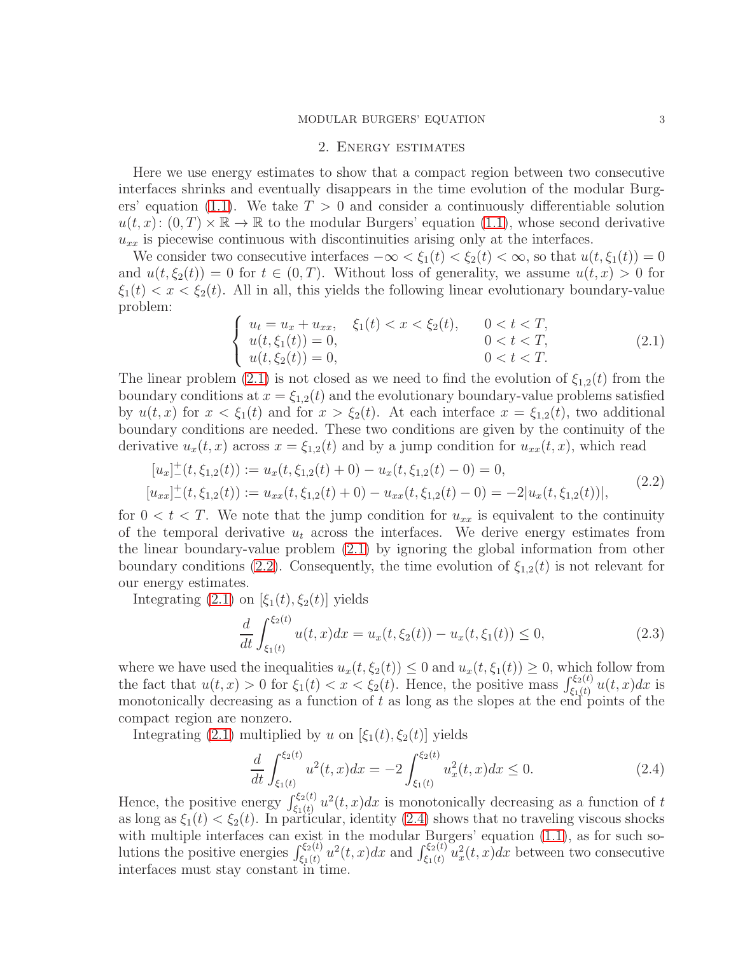#### MODULAR BURGERS' EQUATION 3

#### 2. Energy estimates

<span id="page-2-0"></span>Here we use energy estimates to show that a compact region between two consecutive interfaces shrinks and eventually disappears in the time evolution of the modular Burg-ers' equation [\(1.1\)](#page-0-0). We take  $T > 0$  and consider a continuously differentiable solution  $u(t, x)$ :  $(0, T) \times \mathbb{R} \to \mathbb{R}$  to the modular Burgers' equation [\(1.1\)](#page-0-0), whose second derivative  $u_{xx}$  is piecewise continuous with discontinuities arising only at the interfaces.

We consider two consecutive interfaces  $-\infty < \xi_1(t) < \xi_2(t) < \infty$ , so that  $u(t, \xi_1(t)) = 0$ and  $u(t, \xi_2(t)) = 0$  for  $t \in (0, T)$ . Without loss of generality, we assume  $u(t, x) > 0$  for  $\xi_1(t) < x < \xi_2(t)$ . All in all, this yields the following linear evolutionary boundary-value problem:

<span id="page-2-1"></span>
$$
\begin{cases}\n u_t = u_x + u_{xx}, & \xi_1(t) < x < \xi_2(t), & 0 < t < T, \\
u(t, \xi_1(t)) = 0, & 0 < t < T, \\
u(t, \xi_2(t)) = 0, & 0 < t < T.\n\end{cases}\n\tag{2.1}
$$

The linear problem [\(2.1\)](#page-2-1) is not closed as we need to find the evolution of  $\xi_{1,2}(t)$  from the boundary conditions at  $x = \xi_{1,2}(t)$  and the evolutionary boundary-value problems satisfied by  $u(t, x)$  for  $x < \xi_1(t)$  and for  $x > \xi_2(t)$ . At each interface  $x = \xi_{1,2}(t)$ , two additional boundary conditions are needed. These two conditions are given by the continuity of the derivative  $u_x(t, x)$  across  $x = \xi_{1,2}(t)$  and by a jump condition for  $u_{xx}(t, x)$ , which read

$$
[u_x]_{-}^{+}(t, \xi_{1,2}(t)) := u_x(t, \xi_{1,2}(t) + 0) - u_x(t, \xi_{1,2}(t) - 0) = 0,
$$
  
\n
$$
[u_{xx}]_{-}^{+}(t, \xi_{1,2}(t)) := u_{xx}(t, \xi_{1,2}(t) + 0) - u_{xx}(t, \xi_{1,2}(t) - 0) = -2|u_x(t, \xi_{1,2}(t))|,
$$
\n(2.2)

for  $0 < t < T$ . We note that the jump condition for  $u_{xx}$  is equivalent to the continuity of the temporal derivative  $u_t$  across the interfaces. We derive energy estimates from the linear boundary-value problem [\(2.1\)](#page-2-1) by ignoring the global information from other boundary conditions [\(2.2\)](#page-2-2). Consequently, the time evolution of  $\xi_{1,2}(t)$  is not relevant for our energy estimates.

Integrating  $(2.1)$  on  $[\xi_1(t), \xi_2(t)]$  yields

<span id="page-2-4"></span><span id="page-2-2"></span>
$$
\frac{d}{dt} \int_{\xi_1(t)}^{\xi_2(t)} u(t,x) dx = u_x(t, \xi_2(t)) - u_x(t, \xi_1(t)) \le 0,
$$
\n(2.3)

where we have used the inequalities  $u_x(t, \xi_2(t)) \leq 0$  and  $u_x(t, \xi_1(t)) \geq 0$ , which follow from the fact that  $u(t, x) > 0$  for  $\xi_1(t) < x < \xi_2(t)$ . Hence, the positive mass  $\int_{\xi_1(t)}^{\xi_2(t)} u(t, x) dx$  is monotonically decreasing as a function of  $t$  as long as the slopes at the end points of the compact region are nonzero.

Integrating [\(2.1\)](#page-2-1) multiplied by u on  $[\xi_1(t), \xi_2(t)]$  yields

<span id="page-2-3"></span>
$$
\frac{d}{dt} \int_{\xi_1(t)}^{\xi_2(t)} u^2(t,x) dx = -2 \int_{\xi_1(t)}^{\xi_2(t)} u_x^2(t,x) dx \le 0.
$$
\n(2.4)

Hence, the positive energy  $\int_{\xi_1(t)}^{\xi_2(t)} u^2(t,x)dx$  is monotonically decreasing as a function of t as long as  $\xi_1(t) < \xi_2(t)$ . In particular, identity [\(2.4\)](#page-2-3) shows that no traveling viscous shocks with multiple interfaces can exist in the modular Burgers' equation  $(1.1)$ , as for such solutions the positive energies  $\int_{\xi_1(t)}^{\xi_2(t)} u^2(t,x)dx$  and  $\int_{\xi_1(t)}^{\xi_2(t)} u^2_x(t,x)dx$  between two consecutive interfaces must stay constant in time.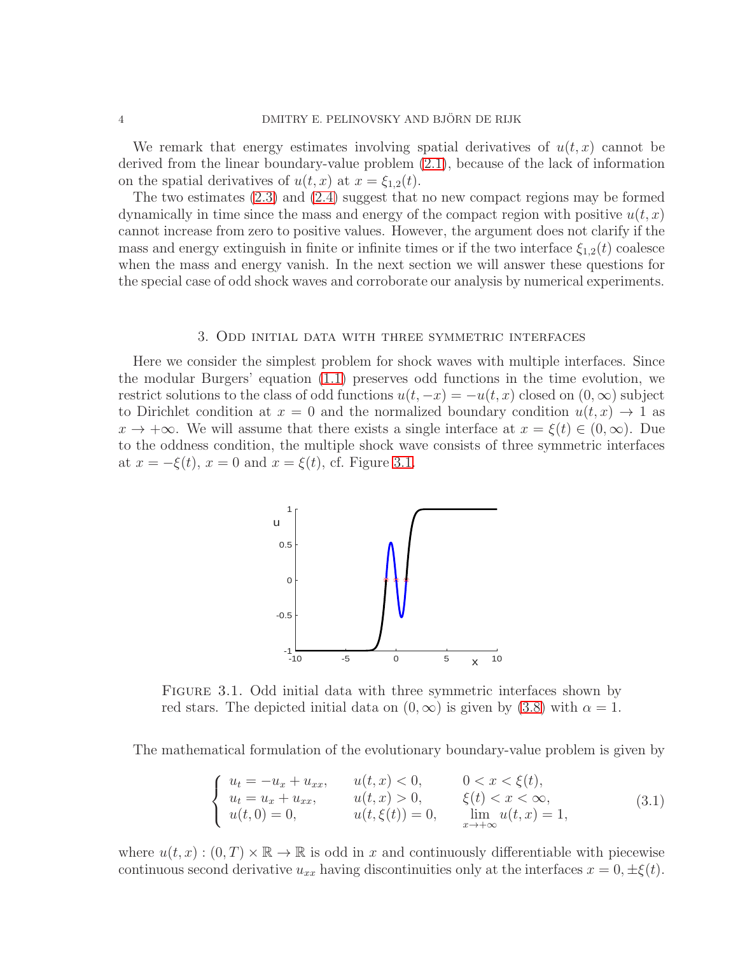We remark that energy estimates involving spatial derivatives of  $u(t, x)$  cannot be derived from the linear boundary-value problem [\(2.1\)](#page-2-1), because of the lack of information on the spatial derivatives of  $u(t, x)$  at  $x = \xi_{1,2}(t)$ .

The two estimates [\(2.3\)](#page-2-4) and [\(2.4\)](#page-2-3) suggest that no new compact regions may be formed dynamically in time since the mass and energy of the compact region with positive  $u(t, x)$ cannot increase from zero to positive values. However, the argument does not clarify if the mass and energy extinguish in finite or infinite times or if the two interface  $\xi_{1,2}(t)$  coalesce when the mass and energy vanish. In the next section we will answer these questions for the special case of odd shock waves and corroborate our analysis by numerical experiments.

#### 3. Odd initial data with three symmetric interfaces

<span id="page-3-0"></span>Here we consider the simplest problem for shock waves with multiple interfaces. Since the modular Burgers' equation [\(1.1\)](#page-0-0) preserves odd functions in the time evolution, we restrict solutions to the class of odd functions  $u(t, -x) = -u(t, x)$  closed on  $(0, \infty)$  subject to Dirichlet condition at  $x = 0$  and the normalized boundary condition  $u(t, x) \rightarrow 1$  as  $x \to +\infty$ . We will assume that there exists a single interface at  $x = \xi(t) \in (0,\infty)$ . Due to the oddness condition, the multiple shock wave consists of three symmetric interfaces at  $x = -\xi(t)$ ,  $x = 0$  and  $x = \xi(t)$ , cf. Figure [3.1.](#page-3-1)



Figure 3.1. Odd initial data with three symmetric interfaces shown by red stars. The depicted initial data on  $(0, \infty)$  is given by  $(3.8)$  with  $\alpha = 1$ .

The mathematical formulation of the evolutionary boundary-value problem is given by

<span id="page-3-2"></span><span id="page-3-1"></span>
$$
\begin{cases}\n u_t = -u_x + u_{xx}, & u(t, x) < 0, & 0 < x < \xi(t), \\
u_t = u_x + u_{xx}, & u(t, x) > 0, & \xi(t) < x < \infty, \\
u(t, 0) = 0, & u(t, \xi(t)) = 0, & \lim_{x \to +\infty} u(t, x) = 1,\n\end{cases}
$$
\n(3.1)

where  $u(t, x) : (0, T) \times \mathbb{R} \to \mathbb{R}$  is odd in x and continuously differentiable with piecewise continuous second derivative  $u_{xx}$  having discontinuities only at the interfaces  $x = 0, \pm \xi(t)$ .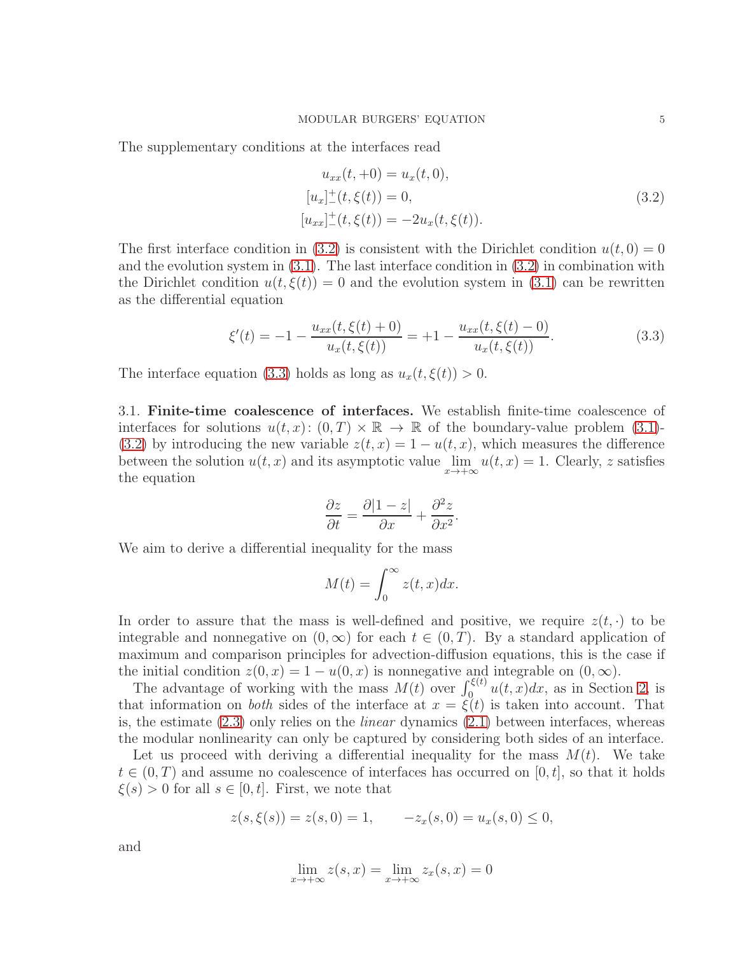<span id="page-4-0"></span>The supplementary conditions at the interfaces read

$$
u_{xx}(t, +0) = u_x(t, 0),
$$
  
\n
$$
[u_x]_-(t, \xi(t)) = 0,
$$
  
\n
$$
[u_{xx}]_-(t, \xi(t)) = -2u_x(t, \xi(t)).
$$
\n(3.2)

The first interface condition in [\(3.2\)](#page-4-0) is consistent with the Dirichlet condition  $u(t, 0) = 0$ and the evolution system in  $(3.1)$ . The last interface condition in  $(3.2)$  in combination with the Dirichlet condition  $u(t,\xi(t)) = 0$  and the evolution system in [\(3.1\)](#page-3-2) can be rewritten as the differential equation

<span id="page-4-1"></span>
$$
\xi'(t) = -1 - \frac{u_{xx}(t,\xi(t) + 0)}{u_x(t,\xi(t))} = +1 - \frac{u_{xx}(t,\xi(t) - 0)}{u_x(t,\xi(t))}.
$$
\n(3.3)

The interface equation [\(3.3\)](#page-4-1) holds as long as  $u_x(t,\xi(t)) > 0$ .

3.1. Finite-time coalescence of interfaces. We establish finite-time coalescence of interfaces for solutions  $u(t, x): (0, T) \times \mathbb{R} \to \mathbb{R}$  of the boundary-value problem [\(3.1\)](#page-3-2)-[\(3.2\)](#page-4-0) by introducing the new variable  $z(t, x) = 1 - u(t, x)$ , which measures the difference between the solution  $u(t, x)$  and its asymptotic value  $\lim_{x \to +\infty} u(t, x) = 1$ . Clearly, z satisfies the equation

$$
\frac{\partial z}{\partial t} = \frac{\partial |1-z|}{\partial x} + \frac{\partial^2 z}{\partial x^2}.
$$

We aim to derive a differential inequality for the mass

$$
M(t) = \int_0^\infty z(t, x) dx.
$$

In order to assure that the mass is well-defined and positive, we require  $z(t, \cdot)$  to be integrable and nonnegative on  $(0, \infty)$  for each  $t \in (0, T)$ . By a standard application of maximum and comparison principles for advection-diffusion equations, this is the case if the initial condition  $z(0, x) = 1 - u(0, x)$  is nonnegative and integrable on  $(0, \infty)$ .

The advantage of working with the mass  $M(t)$  over  $\int_0^{\xi(t)} u(t, x) dx$ , as in Section [2,](#page-2-0) is that information on *both* sides of the interface at  $x = \xi(t)$  is taken into account. That is, the estimate  $(2.3)$  only relies on the *linear* dynamics  $(2.1)$  between interfaces, whereas the modular nonlinearity can only be captured by considering both sides of an interface.

Let us proceed with deriving a differential inequality for the mass  $M(t)$ . We take  $t \in (0,T)$  and assume no coalescence of interfaces has occurred on [0, t], so that it holds  $\xi(s) > 0$  for all  $s \in [0, t]$ . First, we note that

$$
z(s, \xi(s)) = z(s, 0) = 1, \qquad -z_x(s, 0) = u_x(s, 0) \le 0,
$$

and

$$
\lim_{x \to +\infty} z(s, x) = \lim_{x \to +\infty} z_x(s, x) = 0
$$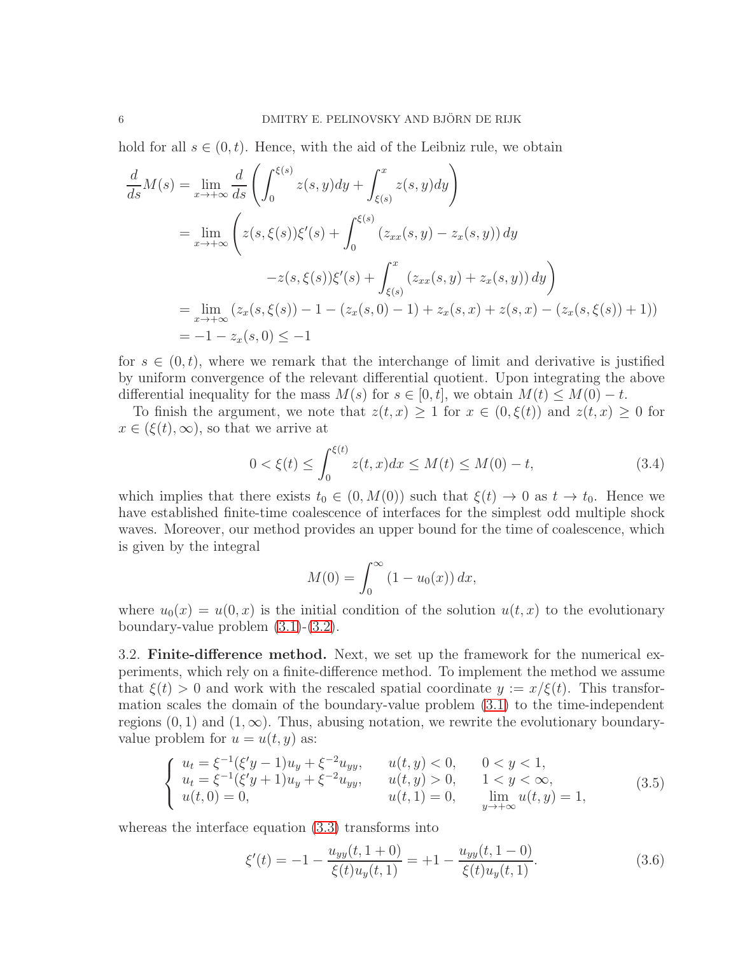hold for all  $s \in (0, t)$ . Hence, with the aid of the Leibniz rule, we obtain

$$
\frac{d}{ds}M(s) = \lim_{x \to +\infty} \frac{d}{ds} \left( \int_0^{\xi(s)} z(s, y) dy + \int_{\xi(s)}^x z(s, y) dy \right)
$$
  
\n
$$
= \lim_{x \to +\infty} \left( z(s, \xi(s)) \xi'(s) + \int_0^{\xi(s)} (z_{xx}(s, y) - z_x(s, y)) dy - z(s, \xi(s)) \xi'(s) + \int_{\xi(s)}^x (z_{xx}(s, y) + z_x(s, y)) dy \right)
$$
  
\n
$$
= \lim_{x \to +\infty} (z_x(s, \xi(s)) - 1 - (z_x(s, 0) - 1) + z_x(s, x) + z(s, x) - (z_x(s, \xi(s)) + 1))
$$
  
\n
$$
= -1 - z_x(s, 0) \le -1
$$

for  $s \in (0, t)$ , where we remark that the interchange of limit and derivative is justified by uniform convergence of the relevant differential quotient. Upon integrating the above differential inequality for the mass  $M(s)$  for  $s \in [0, t]$ , we obtain  $M(t) \leq M(0) - t$ .

To finish the argument, we note that  $z(t, x) \geq 1$  for  $x \in (0, \xi(t))$  and  $z(t, x) \geq 0$  for  $x \in (\xi(t), \infty)$ , so that we arrive at

$$
0 < \xi(t) \le \int_0^{\xi(t)} z(t, x) dx \le M(t) \le M(0) - t,\tag{3.4}
$$

which implies that there exists  $t_0 \in (0, M(0))$  such that  $\xi(t) \to 0$  as  $t \to t_0$ . Hence we have established finite-time coalescence of interfaces for the simplest odd multiple shock waves. Moreover, our method provides an upper bound for the time of coalescence, which is given by the integral

<span id="page-5-2"></span>
$$
M(0) = \int_0^\infty (1 - u_0(x)) \, dx,
$$

where  $u_0(x) = u(0, x)$  is the initial condition of the solution  $u(t, x)$  to the evolutionary boundary-value problem [\(3.1\)](#page-3-2)-[\(3.2\)](#page-4-0).

3.2. Finite-difference method. Next, we set up the framework for the numerical experiments, which rely on a finite-difference method. To implement the method we assume that  $\xi(t) > 0$  and work with the rescaled spatial coordinate  $y := x/\xi(t)$ . This transformation scales the domain of the boundary-value problem [\(3.1\)](#page-3-2) to the time-independent regions  $(0, 1)$  and  $(1, \infty)$ . Thus, abusing notation, we rewrite the evolutionary boundaryvalue problem for  $u = u(t, y)$  as:

<span id="page-5-0"></span>
$$
\begin{cases}\n u_t = \xi^{-1}(\xi'y - 1)u_y + \xi^{-2}u_{yy}, & u(t, y) < 0, \quad 0 < y < 1, \\
u_t = \xi^{-1}(\xi'y + 1)u_y + \xi^{-2}u_{yy}, & u(t, y) > 0, \quad 1 < y < \infty, \\
u(t, 0) = 0, & u(t, 1) = 0, \quad \lim_{y \to +\infty} u(t, y) = 1,\n\end{cases}
$$
\n(3.5)

whereas the interface equation [\(3.3\)](#page-4-1) transforms into

<span id="page-5-1"></span>
$$
\xi'(t) = -1 - \frac{u_{yy}(t, 1+0)}{\xi(t)u_y(t, 1)} = +1 - \frac{u_{yy}(t, 1-0)}{\xi(t)u_y(t, 1)}.
$$
\n(3.6)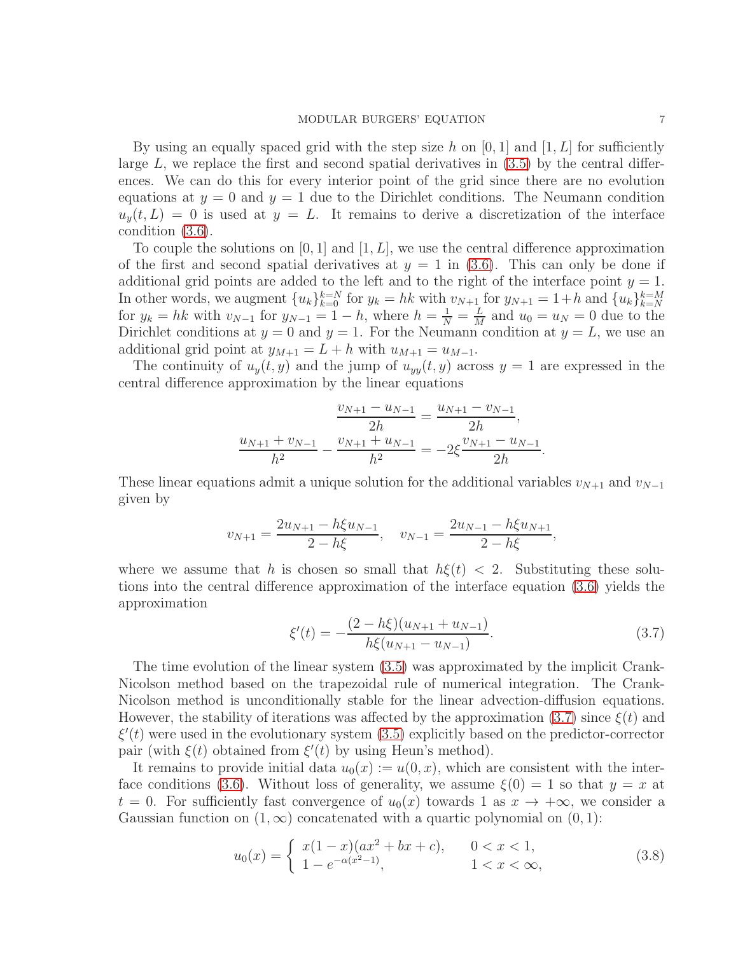By using an equally spaced grid with the step size h on  $[0, 1]$  and  $[1, L]$  for sufficiently large  $L$ , we replace the first and second spatial derivatives in  $(3.5)$  by the central differences. We can do this for every interior point of the grid since there are no evolution equations at  $y = 0$  and  $y = 1$  due to the Dirichlet conditions. The Neumann condition  $u_y(t, L) = 0$  is used at  $y = L$ . It remains to derive a discretization of the interface condition [\(3.6\)](#page-5-1).

To couple the solutions on  $[0, 1]$  and  $[1, L]$ , we use the central difference approximation of the first and second spatial derivatives at  $y = 1$  in [\(3.6\)](#page-5-1). This can only be done if additional grid points are added to the left and to the right of the interface point  $y = 1$ . In other words, we augment  ${u_k}_{k=0}^{k=N}$  for  $y_k = hk$  with  $v_{N+1}$  for  $y_{N+1} = 1+h$  and  ${u_k}_{k=N}^{k=M}$ for  $y_k = hk$  with  $v_{N-1}$  for  $y_{N-1} = 1 - h$ , where  $h = \frac{1}{N} = \frac{L}{M}$  $\frac{L}{M}$  and  $u_0 = u_N = 0$  due to the Dirichlet conditions at  $y = 0$  and  $y = 1$ . For the Neumann condition at  $y = L$ , we use an additional grid point at  $y_{M+1} = L + h$  with  $u_{M+1} = u_{M-1}$ .

The continuity of  $u_y(t, y)$  and the jump of  $u_{yy}(t, y)$  across  $y = 1$  are expressed in the central difference approximation by the linear equations

$$
\frac{v_{N+1} - u_{N-1}}{2h} = \frac{u_{N+1} - v_{N-1}}{2h},
$$

$$
\frac{u_{N+1} + v_{N-1}}{h^2} - \frac{v_{N+1} + u_{N-1}}{h^2} = -2\xi \frac{v_{N+1} - u_{N-1}}{2h}.
$$

These linear equations admit a unique solution for the additional variables  $v_{N+1}$  and  $v_{N-1}$ given by

$$
v_{N+1} = \frac{2u_{N+1} - h\xi u_{N-1}}{2 - h\xi}, \quad v_{N-1} = \frac{2u_{N-1} - h\xi u_{N+1}}{2 - h\xi},
$$

where we assume that h is chosen so small that  $h\xi(t) < 2$ . Substituting these solutions into the central difference approximation of the interface equation [\(3.6\)](#page-5-1) yields the approximation

<span id="page-6-1"></span>
$$
\xi'(t) = -\frac{(2 - h\xi)(u_{N+1} + u_{N-1})}{h\xi(u_{N+1} - u_{N-1})}.
$$
\n(3.7)

The time evolution of the linear system [\(3.5\)](#page-5-0) was approximated by the implicit Crank-Nicolson method based on the trapezoidal rule of numerical integration. The Crank-Nicolson method is unconditionally stable for the linear advection-diffusion equations. However, the stability of iterations was affected by the approximation [\(3.7\)](#page-6-1) since  $\xi(t)$  and  $\xi'(t)$  were used in the evolutionary system [\(3.5\)](#page-5-0) explicitly based on the predictor-corrector pair (with  $\xi(t)$  obtained from  $\xi'(t)$  by using Heun's method).

It remains to provide initial data  $u_0(x) := u(0, x)$ , which are consistent with the inter-face conditions [\(3.6\)](#page-5-1). Without loss of generality, we assume  $\xi(0) = 1$  so that  $y = x$  at  $t = 0$ . For sufficiently fast convergence of  $u_0(x)$  towards 1 as  $x \to +\infty$ , we consider a Gaussian function on  $(1, \infty)$  concatenated with a quartic polynomial on  $(0, 1)$ :

<span id="page-6-0"></span>
$$
u_0(x) = \begin{cases} x(1-x)(ax^2+bx+c), & 0 < x < 1, \\ 1 - e^{-\alpha(x^2-1)}, & 1 < x < \infty, \end{cases}
$$
 (3.8)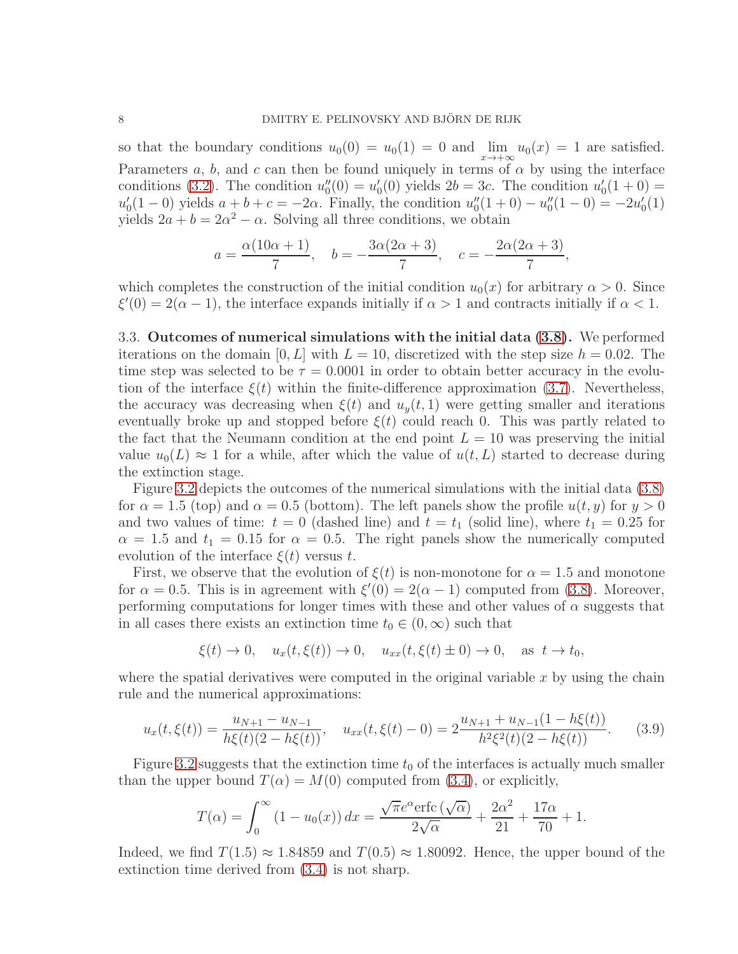so that the boundary conditions  $u_0(0) = u_0(1) = 0$  and  $\lim_{x \to +\infty} u_0(x) = 1$  are satisfied. Parameters a, b, and c can then be found uniquely in terms of  $\alpha$  by using the interface conditions [\(3.2\)](#page-4-0). The condition  $u_0''$  $u''_0(0) = u''_0$  $u'_0(0)$  yields  $2b = 3c$ . The condition  $u'_0$  $y'_0(1+0) =$  $u'_{0}$  $\alpha'_{0}(1-0)$  yields  $a+b+c=-2\alpha$ . Finally, the condition  $u''_{0}$  $u''_0(1+0)-u''_0$  $y''_0(1-0) = -2u'_0$  $_{0}^{\prime}(1)$ yields  $2a + b = 2\alpha^2 - \alpha$ . Solving all three conditions, we obtain

$$
a = \frac{\alpha(10\alpha + 1)}{7}
$$
,  $b = -\frac{3\alpha(2\alpha + 3)}{7}$ ,  $c = -\frac{2\alpha(2\alpha + 3)}{7}$ ,

which completes the construction of the initial condition  $u_0(x)$  for arbitrary  $\alpha > 0$ . Since  $\xi'(0) = 2(\alpha - 1)$ , the interface expands initially if  $\alpha > 1$  and contracts initially if  $\alpha < 1$ .

3.3. Outcomes of numerical simulations with the initial data [\(3.8\)](#page-6-0). We performed iterations on the domain [0, L] with  $L = 10$ , discretized with the step size  $h = 0.02$ . The time step was selected to be  $\tau = 0.0001$  in order to obtain better accuracy in the evolution of the interface  $\xi(t)$  within the finite-difference approximation [\(3.7\)](#page-6-1). Nevertheless, the accuracy was decreasing when  $\xi(t)$  and  $u_y(t, 1)$  were getting smaller and iterations eventually broke up and stopped before  $\xi(t)$  could reach 0. This was partly related to the fact that the Neumann condition at the end point  $L = 10$  was preserving the initial value  $u_0(L) \approx 1$  for a while, after which the value of  $u(t, L)$  started to decrease during the extinction stage.

Figure [3.2](#page-8-0) depicts the outcomes of the numerical simulations with the initial data [\(3.8\)](#page-6-0) for  $\alpha = 1.5$  (top) and  $\alpha = 0.5$  (bottom). The left panels show the profile  $u(t, y)$  for  $y > 0$ and two values of time:  $t = 0$  (dashed line) and  $t = t_1$  (solid line), where  $t_1 = 0.25$  for  $\alpha = 1.5$  and  $t_1 = 0.15$  for  $\alpha = 0.5$ . The right panels show the numerically computed evolution of the interface  $\xi(t)$  versus t.

First, we observe that the evolution of  $\xi(t)$  is non-monotone for  $\alpha = 1.5$  and monotone for  $\alpha = 0.5$ . This is in agreement with  $\xi'(0) = 2(\alpha - 1)$  computed from [\(3.8\)](#page-6-0). Moreover, performing computations for longer times with these and other values of  $\alpha$  suggests that in all cases there exists an extinction time  $t_0 \in (0,\infty)$  such that

$$
\xi(t) \to 0
$$
,  $u_x(t, \xi(t)) \to 0$ ,  $u_{xx}(t, \xi(t) \pm 0) \to 0$ , as  $t \to t_0$ ,

where the spatial derivatives were computed in the original variable  $x$  by using the chain rule and the numerical approximations:

$$
u_x(t,\xi(t)) = \frac{u_{N+1} - u_{N-1}}{h\xi(t)(2 - h\xi(t))}, \quad u_{xx}(t,\xi(t) - 0) = 2\frac{u_{N+1} + u_{N-1}(1 - h\xi(t))}{h^2\xi^2(t)(2 - h\xi(t))}.
$$
 (3.9)

Figure [3.2](#page-8-0) suggests that the extinction time  $t_0$  of the interfaces is actually much smaller than the upper bound  $T(\alpha) = M(0)$  computed from [\(3.4\)](#page-5-2), or explicitly,

$$
T(\alpha) = \int_0^\infty (1 - u_0(x)) dx = \frac{\sqrt{\pi}e^{\alpha} \text{erfc}\left(\sqrt{\alpha}\right)}{2\sqrt{\alpha}} + \frac{2\alpha^2}{21} + \frac{17\alpha}{70} + 1.
$$

Indeed, we find  $T(1.5) \approx 1.84859$  and  $T(0.5) \approx 1.80092$ . Hence, the upper bound of the extinction time derived from [\(3.4\)](#page-5-2) is not sharp.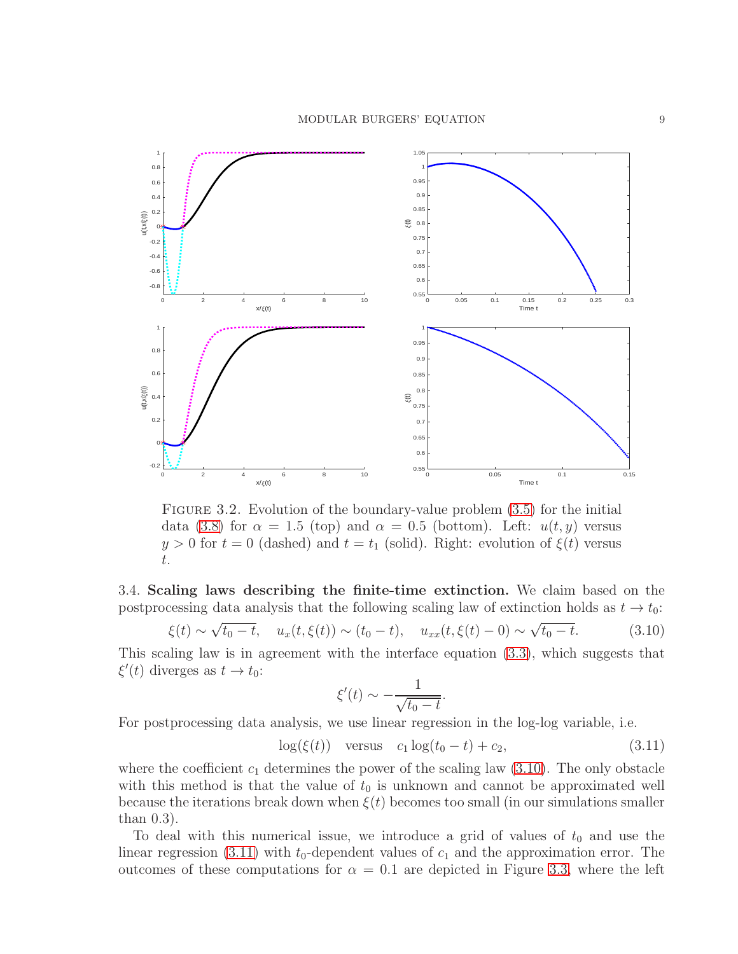

<span id="page-8-0"></span>FIGURE 3.2. Evolution of the boundary-value problem  $(3.5)$  for the initial data [\(3.8\)](#page-6-0) for  $\alpha = 1.5$  (top) and  $\alpha = 0.5$  (bottom). Left:  $u(t, y)$  versus  $y > 0$  for  $t = 0$  (dashed) and  $t = t_1$  (solid). Right: evolution of  $\xi(t)$  versus t.

3.4. Scaling laws describing the finite-time extinction. We claim based on the postprocessing data analysis that the following scaling law of extinction holds as  $t \to t_0$ :

<span id="page-8-1"></span>
$$
\xi(t) \sim \sqrt{t_0 - t}, \quad u_x(t, \xi(t)) \sim (t_0 - t), \quad u_{xx}(t, \xi(t) - 0) \sim \sqrt{t_0 - t}.
$$
 (3.10)

This scaling law is in agreement with the interface equation [\(3.3\)](#page-4-1), which suggests that  $\xi'(t)$  diverges as  $t \to t_0$ :

$$
\xi'(t) \sim -\frac{1}{\sqrt{t_0 - t}}.
$$

For postprocessing data analysis, we use linear regression in the log-log variable, i.e.

<span id="page-8-2"></span>
$$
log(\xi(t))
$$
 versus  $c_1 log(t_0 - t) + c_2$ , (3.11)

where the coefficient  $c_1$  determines the power of the scaling law  $(3.10)$ . The only obstacle with this method is that the value of  $t_0$  is unknown and cannot be approximated well because the iterations break down when  $\xi(t)$  becomes too small (in our simulations smaller than 0.3).

To deal with this numerical issue, we introduce a grid of values of  $t_0$  and use the linear regression [\(3.11\)](#page-8-2) with  $t_0$ -dependent values of  $c_1$  and the approximation error. The outcomes of these computations for  $\alpha = 0.1$  are depicted in Figure [3.3,](#page-9-0) where the left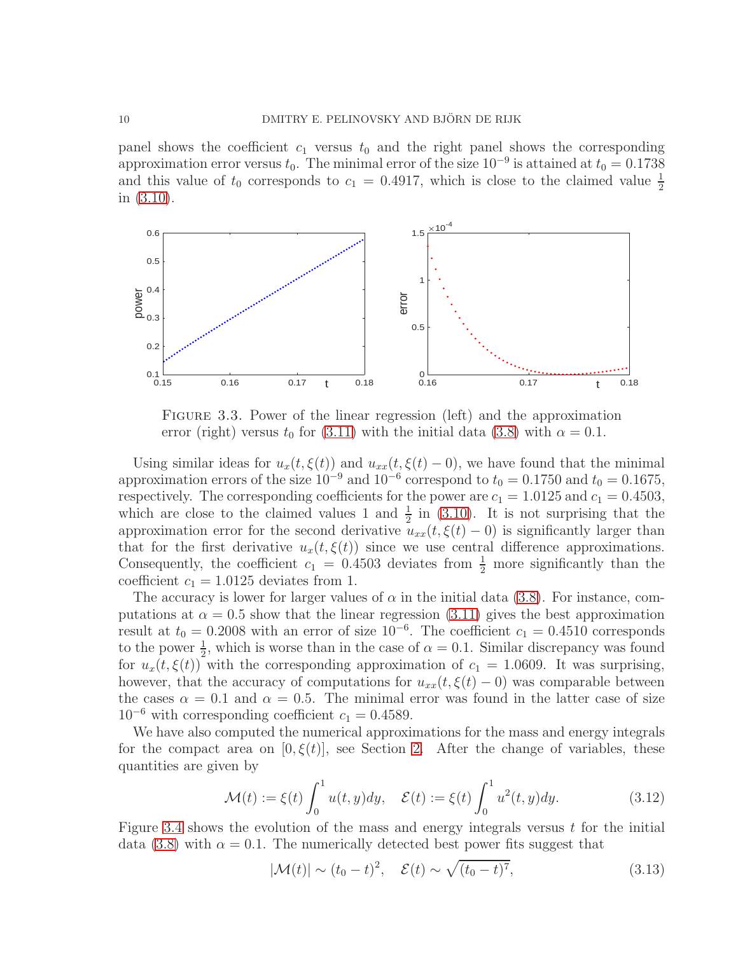panel shows the coefficient  $c_1$  versus  $t_0$  and the right panel shows the corresponding approximation error versus  $t_0$ . The minimal error of the size  $10^{-9}$  is attained at  $t_0 = 0.1738$ and this value of  $t_0$  corresponds to  $c_1 = 0.4917$ , which is close to the claimed value  $\frac{1}{2}$ in [\(3.10\)](#page-8-1).



<span id="page-9-0"></span>Figure 3.3. Power of the linear regression (left) and the approximation error (right) versus  $t_0$  for [\(3.11\)](#page-8-2) with the initial data [\(3.8\)](#page-6-0) with  $\alpha = 0.1$ .

Using similar ideas for  $u_x(t,\xi(t))$  and  $u_{xx}(t,\xi(t)-0)$ , we have found that the minimal approximation errors of the size  $10^{-9}$  and  $10^{-6}$  correspond to  $t_0 = 0.1750$  and  $t_0 = 0.1675$ , respectively. The corresponding coefficients for the power are  $c_1 = 1.0125$  and  $c_1 = 0.4503$ , which are close to the claimed values 1 and  $\frac{1}{2}$  in [\(3.10\)](#page-8-1). It is not surprising that the approximation error for the second derivative  $u_{xx}(t, \xi(t) - 0)$  is significantly larger than that for the first derivative  $u_x(t,\xi(t))$  since we use central difference approximations. Consequently, the coefficient  $c_1 = 0.4503$  deviates from  $\frac{1}{2}$  more significantly than the coefficient  $c_1 = 1.0125$  deviates from 1.

The accuracy is lower for larger values of  $\alpha$  in the initial data [\(3.8\)](#page-6-0). For instance, computations at  $\alpha = 0.5$  show that the linear regression [\(3.11\)](#page-8-2) gives the best approximation result at  $t_0 = 0.2008$  with an error of size  $10^{-6}$ . The coefficient  $c_1 = 0.4510$  corresponds to the power  $\frac{1}{2}$ , which is worse than in the case of  $\alpha = 0.1$ . Similar discrepancy was found for  $u_x(t,\xi(t))$  with the corresponding approximation of  $c_1 = 1.0609$ . It was surprising, however, that the accuracy of computations for  $u_{xx}(t, \xi(t)-0)$  was comparable between the cases  $\alpha = 0.1$  and  $\alpha = 0.5$ . The minimal error was found in the latter case of size  $10^{-6}$  with corresponding coefficient  $c_1 = 0.4589$ .

We have also computed the numerical approximations for the mass and energy integrals for the compact area on  $[0, \xi(t)]$ , see Section [2.](#page-2-0) After the change of variables, these quantities are given by

$$
\mathcal{M}(t) := \xi(t) \int_0^1 u(t, y) dy, \quad \mathcal{E}(t) := \xi(t) \int_0^1 u^2(t, y) dy.
$$
 (3.12)

Figure [3.4](#page-10-1) shows the evolution of the mass and energy integrals versus  $t$  for the initial data [\(3.8\)](#page-6-0) with  $\alpha = 0.1$ . The numerically detected best power fits suggest that

$$
|\mathcal{M}(t)| \sim (t_0 - t)^2, \quad \mathcal{E}(t) \sim \sqrt{(t_0 - t)^7}, \tag{3.13}
$$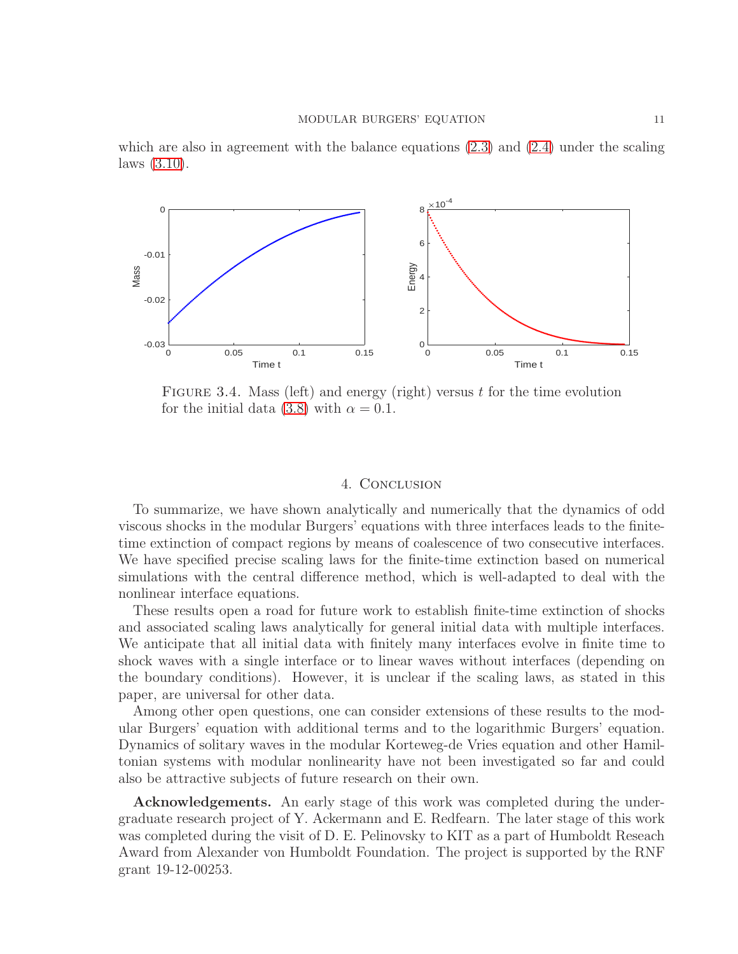

which are also in agreement with the balance equations  $(2.3)$  and  $(2.4)$  under the scaling laws [\(3.10\)](#page-8-1).

<span id="page-10-1"></span>FIGURE 3.4. Mass (left) and energy (right) versus t for the time evolution for the initial data [\(3.8\)](#page-6-0) with  $\alpha = 0.1$ .

#### 4. Conclusion

<span id="page-10-0"></span>To summarize, we have shown analytically and numerically that the dynamics of odd viscous shocks in the modular Burgers' equations with three interfaces leads to the finitetime extinction of compact regions by means of coalescence of two consecutive interfaces. We have specified precise scaling laws for the finite-time extinction based on numerical simulations with the central difference method, which is well-adapted to deal with the nonlinear interface equations.

These results open a road for future work to establish finite-time extinction of shocks and associated scaling laws analytically for general initial data with multiple interfaces. We anticipate that all initial data with finitely many interfaces evolve in finite time to shock waves with a single interface or to linear waves without interfaces (depending on the boundary conditions). However, it is unclear if the scaling laws, as stated in this paper, are universal for other data.

Among other open questions, one can consider extensions of these results to the modular Burgers' equation with additional terms and to the logarithmic Burgers' equation. Dynamics of solitary waves in the modular Korteweg-de Vries equation and other Hamiltonian systems with modular nonlinearity have not been investigated so far and could also be attractive subjects of future research on their own.

Acknowledgements. An early stage of this work was completed during the undergraduate research project of Y. Ackermann and E. Redfearn. The later stage of this work was completed during the visit of D. E. Pelinovsky to KIT as a part of Humboldt Reseach Award from Alexander von Humboldt Foundation. The project is supported by the RNF grant 19-12-00253.